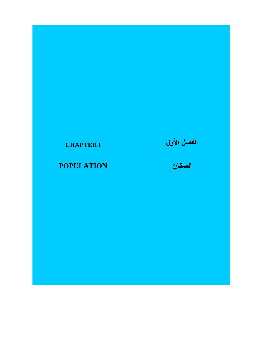# **CHAPTER I**

# **POPULATION**

# الفصل الأول<br>السكان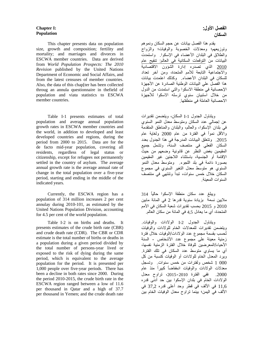### **Chapter I: Population**

This chapter presents data on population size, growth and composition; fertility and mortality; and marriages and divorces in ESCWA member countries. Data are derived from *World Population Prospects: The 2010 Revision* published by the United Nations Department of Economic and Social Affairs, and from the latest censuses of member countries. Also, the data of this chap[ter has been collected throug an annula questionnaire in thefield of population and viata statistics to ESCWA member countries.

Table I-1 presents estimates of total population and average annual population growth rates in ESCWA member countries and the world, in addition to developed and least developed countries and regions, during the period from 2000 to 2015. Data are for the de facto mid-year population, covering all residents, regardless of legal status or citizenship, except for refugees not permanently settled in the country of asylum. The average annual growth rate is the average annual rate of change in the total population over a five-year period, starting and ending in the middle of the indicated years.

Currently, the ESCWA region has a population of 314 million increases 2 per cent annulay during 2010-101, as estimated by the United Nations Population Division, accounting for 4.5 per cent of the world population.

Table I-2 is on births and deaths. It presents estimates of the crude birth rate (CBR) and crude death rate (CDR). The CBR or CDR estimate is the total number of births or deaths in a population during a given period divided by the total number of persons-year lived or exposed to the risk of dying during the same period, which is equivalent to the average population for the period. It is presented per 1,000 people over five-year periods. There has been a decline in both rates since 2000. During the period 2010-2015, the crude birth rate in the ESCWA region ranged between a low of 11.6 per thousand in Qatar and a high of 37.7 per thousand in Yemen; and the crude death rate

### **الفصل األول: السكان**

 يقدم ھذا الفصل بيانات عن حجم السكان ونموھم وتوزيعھم؛ ومعدالت الخصوبة والوفيات؛ والزواج والطالق في البلدان األعضاء في اإلسكوا. واستمدت البيانات من التوقعات السكانية في العالم: تنقيح عام 2010 الذي تصدره إدارة الشؤون االقتصادية واالجتماعية التابعة لألمم المتحدة، ومن آخر تعداد للسكان في البلدان األعضاء. وكذلك اعتمدت بيانات ھذا الفصل علي البيانات الوطنية الصادرة عن األجھزة اإلحصائية في منطقة االسكوا والتي استمدت من الدول من خالل استبيان سنوي ترسله االسكوا لألجھزة االحصائية العاملة في منطقتھا.

 ويتناول الجدول -1I السكان، ويتضمن تقديرات عن إجمالي عدد السكان ومتوسط معدل النمو السنوي في بلدان اإلسكوا، والعالم، والبلدان والمناطق المتقدمة واألقل نمواً في الفترة من عام 2000 ولغاية عام .2015 وتتعلق البيانات المدرجة في ھذا الجدول بعدد السكان الفعلي في منتصف السنة، وتشمل جميع المقيمين بغض النظر عن قانونية وضعھم من حيث اإلقامة أو الجنسية، باستثناء الالجئين غير المقيمين بصورة دائمة في بلد اللجوء. ومتوسط معدل النمو السنوي ھو متوسط معدل التغير السنوي في مجموع السكان خالل خمس سنوات، تبدأ وتنتھي في منتصف السنوات المعينة.

 ويبلغ عدد سكان منطقة اإلسكوا حاليًا 314 ماليين نسمة بزيادة سنوية قدرھا 2 في المائة مابين و 2015 بحسب تقديرات شعبة السكان في الأمم  $2010$ المتحدة، أي ما يعادل 4,5 في المائة من سكان العالم.

ويتناول الجدول I-2 الولادات والوفيات. ويتضمن تقديرات للمعدالت الخام للوالدات والوفيات ُتحسب بقسمة مجموع عدد الوالدات/الوفيات خالل فترة زمنية معينة على مجموع عدد األشخاص - السنة األحياء/المعرضين للوفاة خالل الفترة الزمنية نفسھا، أي ما يساوي متوسط عدد السكان في تلك الفترة. ويرد المعدل الخام للوالدات أو الوفيات كنسبة من كل 000 1 شخص ولفترات من خمس سنوات. وتسجل معدلات الولادات والوفيات انخفاضاً كبيراً منذ عام .2000 ففي الفترة ،2015-2010 تراوح معدل الوالدات الخام في بلدان اإلسكوا بين حد أدنى قدره 11,6 في األلف في قطر وحد أعلى قدره 37,2 في األلف في اليمن؛ بينما تراوح معدل الوفيات الخام بين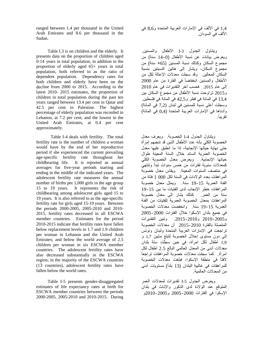ranged between 1.4 per thousand in the United Arab Emirates and 8.6 per thousand in the Sudan.

 Table I.3 is on children and the elderly. It presents data on the proportion of children aged 0-14 years in total population, in addition to the proportion of elderly aged 65+ years in total population, both referred to as the ratio of dependent population. Dependency rates for both children and elderly have been on the decline from 2000 to 2015. According to the latest 2010- 2015 estimates, the proportion of children in total population during the past ten years ranged between 13.4 per cent in Qatar and 42.5 per cent in Palestine. The highest percentage of elderly population was recorded in Lebanon, at 7.2 per cent, and the lowest in the United Arab Emirates, at 0.4 per cent approximately.

Table I-4 deals with fertility. The total fertility rate is the number of children a woman would have by the end of her reproductive period if she experienced the current prevailing age-specific fertility rate throughout her childbearing life. It is reported as annual averages for five-year periods starting and ending in the middle of the indicated years. The adolescent fertility rate measures the annual number of births per 1,000 girls in the age group 15 to 19 years. It represents the risk of childbearing among adolescent girls aged 15 to 19 years. It is also referred to as the age-specific fertility rate for girls aged 15-19 years. Between the periods 2000-2005, 2005-2010 and 2010- 2015, fertility rates decreased in all ESCWA member countries. Estimates for the period 2010-2015 indicate that fertility rates have fallen below replacement levels to 1.7 and 1.9 children per woman in Lebanon and the United Arab Emirates; and below the world average of 2.5 children per woman in six ESCWA member countries. The adolescent fertility rates have also decreased substantially in the ESCWA region; in the majority of the ESCWA countries (13 countries), adolescent fertility rates have fallen below the world rates.

 Table I-5 presents gender-disaggregated estimates of life expectancy rates at birth for ESCWA member countries between the periods 2000-2005, 2005-2010 and 2010-2015. During 1,4 في األلف في اإلمارات العربية المتحدة و8,6 في الألف في السودان.

 ويتناول الجدول -3I األطفال والمسنين. ويعرض بيانات عن نسبة األطفال (-0 14 سنة) من مجموع السكان وكذلك نسبة المسنين (+65 سنة) من مجموع السكان، ويشار إلى ھاتين النسبتين بنسبة السكان المعالين. وقد سجلت معدالت اإلعالة لكل من األطفال والمسنين انخفاضاً في الفترة من عام 2000 إلى عام .2015 فحسب آخر التقديرات في عام 2010 و2015 تراوحت نسبة األطفال من مجموع السكان بين 13,4 في المائة في قطر و42,5 في المائة في فلسطين. وسجلت أعلى نسبة للمسنين في لبنان (7,2 في المائة) وأدناھا في اإلمارات العربية المتحدة (0,4 في المائة) تقريباً.

ويتناول الجدول I-4 الخصوبة. ويعرف معدل الخصوبة الكلي بأنه عدد األطفال الذين قد تنجبھم إمرأة حتى نھاية حياتھا اإلنجابية، إذا ما انطبق عليھا معدل الخصوبة العمرية السائد خالل السنة المعينة طوال حياتھا اإلنجابية. ويعرض معدل الخصوبة الكلي كمعدالت سنوية لفترات من خمس سنوات تبدأ وتنتھي في منتصف السنوات المعينة. ويقاس معدل خصوبة المراھقات بعدد الوالدات في السنة لكل 000 1 فتاة من الفئة العمرية 19-15 سنة. ويمثل معدل خصوبة المراھقات خطر اإلنجاب لدى الفتيات ما بين 19-15 سنة من العمر. كذلك يشار إلى معدل خصوبة المراھقات بمعدل الخصوبة العمرية للفتيات من الفئة العمرية 19-15 سنة. وانخفضت معدالت الخصوبة في جميع بلدان اإلسكوا خالل الفترات 2005-2000 و-2005 2010 و-2010 .2015 وتبين التقديرات المتصلة بالفترة 2015-2010 أن معدالت الخصوبة تراجعت في اإلمارات العربية المتحدة ولبنان ونونس إلى دون مستوى إحالل الخصوبة لتبلغ مابين 1,7 و 1,9 أطفال لكل امرأة، في حين سجلّت ستة بلدان معدالت أدنى من المعدل العالمي البالغ 2.5 أطفال لكل امرأة. كما سجلت معدالت خصوبة المراھقات تراجعاً الفتًا في منطقة اإلسكوا، فبلغت معدالت الخصوبة للمراھقات في غالبية البلدان (13 بلداً) مستويات أدنى من المعدالت العالمية.

ويعرض الجدول -5I تقديرات لمعدالت العمر المتوقع عند الوالدة لدى الذكور واإلناث في بلدان اإلسكوا في الفترات 2005-2000 و2010-2005و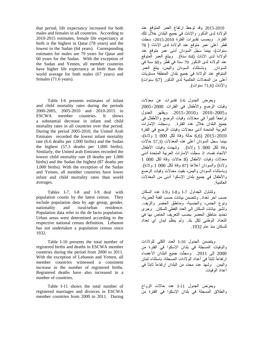that period, life expectancy increased for both males and females in all countries. According to 2010-2015 estimates, female life expectancy at birth is the highest in Qatar (78 years) and the lowest in the Sudan (64 years). Corresponding estimates for males are 79 years for Qatar and 60 years for the Sudan. With the exception of the Sudan and Yemen, all member countries have higher life expectancy at birth than the world average for both males (67 years) and females (71.6 years).

Table I-6 presents estimates of infant and child mortality rates during the periods 2000-2005, 2005-2010 and 2010-2015 in ESCWA member countries. It shows a substantial decrease in infant and child mortality rates in all countries over that period. During the period 2005-2010, the United Arab Emirates recorded the lowest infant mortality rate (6.6 deaths per 1,000 births) and the Sudan the highest (57.3 deaths per 1,000 births). Similarly, the United arab Emirates recorded the lowest child mortality rate (8 deaths per 1,000 births) and the Sudan the highest (87 deaths per 1,000 births). With the exception of the Sudan and Yemen, all member countries have lower infant and child mortality rates than world averages.

 Tables I-7, I-8 and I-9 deal with population counts by the latest census. They include population data by age group, gender, nationality and rural/urban residence. Population data refer to the de facto population. Urban areas were determined according to the respective national census definition. Lebanon has not undertaken a population census since 1932.

 Table I-10 presents the total number of registered births and deaths in ESCWA member countries during the period from 2000 to 2011. With the exception of Lebanon and Yemen, all member countries witnessed a consistent increase in the number of registered births. Registered deaths have also increased in a number of countries.

 Table I-11 shows the total number of registered marriages and divorces in ESCWA member countries from 2000 to 2011. During

 2015-2010 وقد لوحظ ارتفاع العمر المتوقع عند الوالدة لدى الذكور واإلناث في جميع البلدان خالل تلك الفترة. وبحسب تقديرات الفترة ،2015-2010 سجلت قطر أعلى عمر متوقع عند الوالدة لدى اإلناث ( 78 سنوات)، بينما سجل السودان أدنى عمر متوقع عند الوالدة لدى اإلناث (64 سنة). ويبلغ العمر المتوقع عند الوالدة لدى الذكور 79 سنة في قطر و60 سنة في السودان. وباستثناء السودان واليمن، يبلغ العمر المتوقع عند الوالدة في جميع بلدان المنطقة مستويات أعلى من المعدالت العالمية لدى الذكور (67 سنوات) واإلناث (71,6 سنوات).

ويعرض الجدول I-6 تقديرات عن معدلات وفيات الرضع واألطفال في الفترات 2005-2000 و-2005 2010 و.2015-2010 ويظھر الجدول تراجعًا كبيراً في معدلات وفيات الرضع والأطفال في جميع البلدان خالل ھذه الفترة. وسجلت اإلمارات العربية المتحدة أدنى معدالت وفيات الرضع في الفترة 2015-2010 (6,6 حالة وفاة لكل 000 1 والدة)، بينما سجل السودان أعلى ھذه المعدالت (57,3 حاالت وفاة لكل 000 1 والدة). وشھدت وفيات األطفال االتجاه نفسه، إذ ّ سجلت اإلمارات العربية المتحدة أدنى معدلات وفيات الأطفال (8 حالات وفاة لكل 000 1 والدة) والسودان أعالھا (87 وفاة لكل 000 1 والدة). وباستثناء السودان واليمن، بقيت معدالت وفيات الرضع واألطفال في جميع بلدان اإلسكوا أدنى من المعدالت العالمية.

وتتناول الجداول -7I و-8I و-9I عدد السكان حسب آخر تعداد. وتتضمن بيانات حسب الفئة العمرية، ونوع الجنس، والجنسية، ومناطق الحضر والريف. وتشير بيانات السكان إلى العدد الفعلي للسكان. وجرى تحديد مناطق الحضر بحسب التعريف الخاص بھا في التعداد الوطني لكل بلد. ولم ينظّم لبنان أي تعداد للسكان منذ عام .1932

ويتضمن الجدول I-10 العدد الكلي للولادات والوفيات المسجلة في بلدان اإلسكوا في الفترة من 2000 إلى .2011 وسجلّت جميع البلدان األعضاء ارتفاعاً ثابتاً في أعداد الوالدات المسجلة، باستثناء لبنان واليمن. وشهد عدد محدد من البلدان ارتفاعاً ثابتاً في أعداد الوفيات.

ويعرض الجدول -11I عدد حاالت الزواج والطالق المسجلة في بلدان اإلسكوا في الفترة من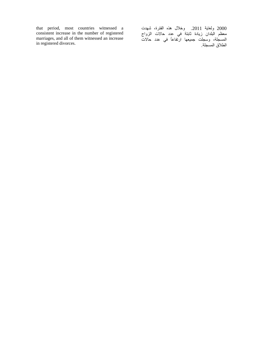that period, most countries witnessed a consistent increase in the number of registered marriages, and all of them witnessed an increase in registered divorces.

2000 ولغاية .2011 وخالل ھذه الفترة، شھدت معظم البلدان زيادة ثابتة في عدد حاالت الزواج المسجلة، وسجلت جميعھا ارتفاعاً في عدد حاالت الطالق المسجلة.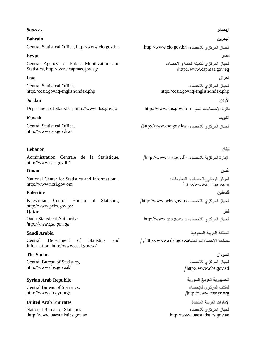### *Sources*

# **Bahrain**  Central Statistical Office, http://www.cio.gov.bh http://www.cio.gov.bh

### **Egypt**

Central Agency for Public Mobilization and Statistics, http://www.capmas.gov.eg/ http://www.capmas.gov.eg/

### **Iraq**

Central Statistical Office,

### **Jordan**

Department of Statistics, http://www.dos.gov.jo http://www.dos.gov.jo

### **Kuwait**

Central Statistical Office, http://www.cso.gov.kw/

### **Lebanon**

Administration Centrale de la Statistique, http://www.cas.gov.lb/

### **Oman**

National Center for Statistics and Information: . http://www.ncsi.gov.om http://www.ncsi.gov.om

### **Palestine**

Palestinian Central Bureau of Statistics, http://www.pcbs.gov.ps/ **Qatar** 

Qatar Statistical Authority: *http://www.qsa.gov.qa*

### **Saudi Arabia**

Central Department of Statistics and Information, http://www.cdsi.gov.sa/

### **The Sudan**

Central Bureau of Statistics, http://www.cbs.gov.sd/ http://www.cbs.gov.sd

### **Syrian Arab Republic**

Central Bureau of Statistics, http://www.cbssyr.org/ http://www.cbssyr.org

### **United Arab Emirates**

National Bureau of Statistics http://www.uaestatistics.gov.ae http://www.uaestatistics.gov.ae

### الهصادر

البحر بن

### مصر

الجهاز المركزي للتعبئة العامة والإحصاء،

### العراق

الجهاز المركزي للإحصاء، http://cosit.gov.iq/english/index.php http://cosit.gov.iq/english/index.php

الأردن

### الكويت

http://www.cso.gov.kw

لبنان http://www.cas.gov.lb

### غمان

فلسطنن

المركز الوطني للإحصاء و المعلومات:

### http://www.pcbs.gov.ps

فطر http://www.qsa.gov.qa

المملكة العريبة السعودية , http://www.cdsi.gov.sa

# السودان الجهاز المركزى للإحصاء

# الجمهورية العربرة السورية

المكتب المركز ي للإحصاء

الإمارات العربية المتحدة الجهاز المركزي للإحصاء